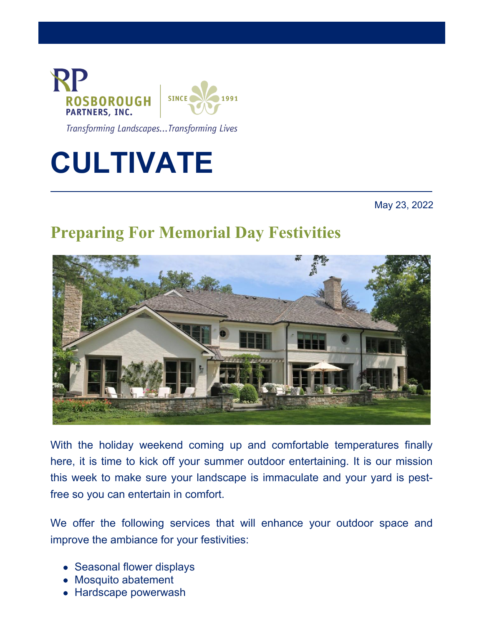

Transforming Landscapes...Transforming Lives

# **CULTIVATE**

May 23, 2022

## **Preparing For Memorial Day Festivities**



With the holiday weekend coming up and comfortable temperatures finally here, it is time to kick off your summer outdoor entertaining. It is our mission this week to make sure your landscape is immaculate and your yard is pestfree so you can entertain in comfort.

We offer the following services that will enhance your outdoor space and improve the ambiance for your festivities:

- Seasonal flower displays
- Mosquito abatement
- Hardscape powerwash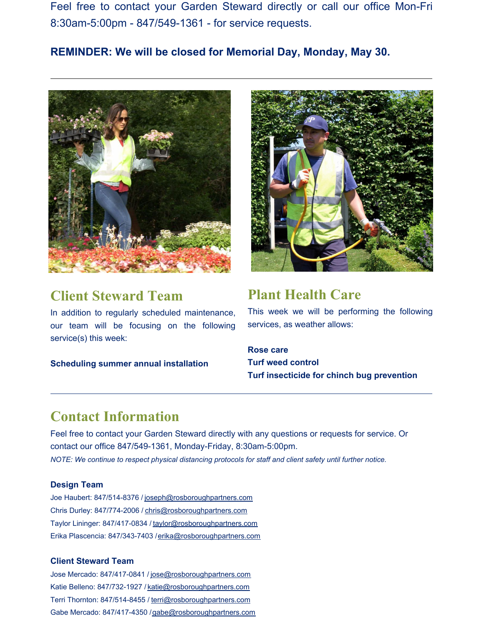Feel free to contact your Garden Steward directly or call our office Mon-Fri 8:30am-5:00pm - 847/549-1361 - for service requests.

## **REMINDER: We will be closed for Memorial Day, Monday, May 30.**



## **Client Steward Team**

In addition to regularly scheduled maintenance, our team will be focusing on the following service(s) this week:

**Scheduling summer annual installation**



## **Plant Health Care**

This week we will be performing the following services, as weather allows:

**Rose care Turf weed control Turf insecticide for chinch bug prevention**

## **Contact Information**

Feel free to contact your Garden Steward directly with any questions or requests for service. Or contact our office 847/549-1361, Monday-Friday, 8:30am-5:00pm. *NOTE: We continue to respect physical distancing protocols for staff and client safety until further notice.*

#### **Design Team**

Joe Haubert: 847/514-8376 / [joseph@rosboroughpartners.com](https://mail.rosboroughpartners.com/OWA/redir.aspx?C=3DAvsKT-c93W3n5T8bB5WmGvS3o9t0iMK1Ti9jyFNiozFqek7tjYCA..&URL=mailto%3ajoseph%40rosboroughpartners.com) Chris Durley: 847/774-2006 / [chris@rosboroughpartners.com](https://mail.rosboroughpartners.com/OWA/redir.aspx?C=XHGC_DRvTs2XcZx7czhCrA80Vwk6rG1qo4BFGfgA5kMzFqek7tjYCA..&URL=mailto%3achris%40rosboroughpartners.com) Taylor Lininger: 847/417-0834 / [taylor@rosboroughpartners.com](https://mail.rosboroughpartners.com/OWA/redir.aspx?C=YhtkZoajF2q_csXIdXqdha58E8pvXYYzvpbsdJml0LMzFqek7tjYCA..&URL=mailto%3ataylor%40rosboroughpartners.com) Erika Plascencia: 847/343-7403 /erika@rosboroughpartners.com

#### **Client Steward Team**

Jose Mercado: 847/417-0841 / [jose@rosboroughpartners.com](https://mail.rosboroughpartners.com/OWA/redir.aspx?C=_UAvI6LbhelDY6rWhZxitmSsOxb-h8pV9TRL7v9IVLUzFqek7tjYCA..&URL=mailto%3ajose%40rosboroughpartners.com) Katie Belleno: 847/732-1927 / [katie@rosboroughpartners.com](https://mail.rosboroughpartners.com/OWA/redir.aspx?C=bTaJjAC14A97ncn6w_4DLbmxVQmzDmbOdiy6ynnkrE8zFqek7tjYCA..&URL=mailto%3akatie%40rosboroughpartners.com) Terri Thornton: 847/514-8455 / [terri@rosboroughpartners.com](https://mail.rosboroughpartners.com/OWA/redir.aspx?C=8GMNSTbpk004AbGgebhgDO3_0EtprfAw2VmeVDZKSI8zFqek7tjYCA..&URL=mailto%3aterri%40rosboroughpartners.com) Gabe Mercado: 847/417-4350 /gabe@rosboroughpartners.com